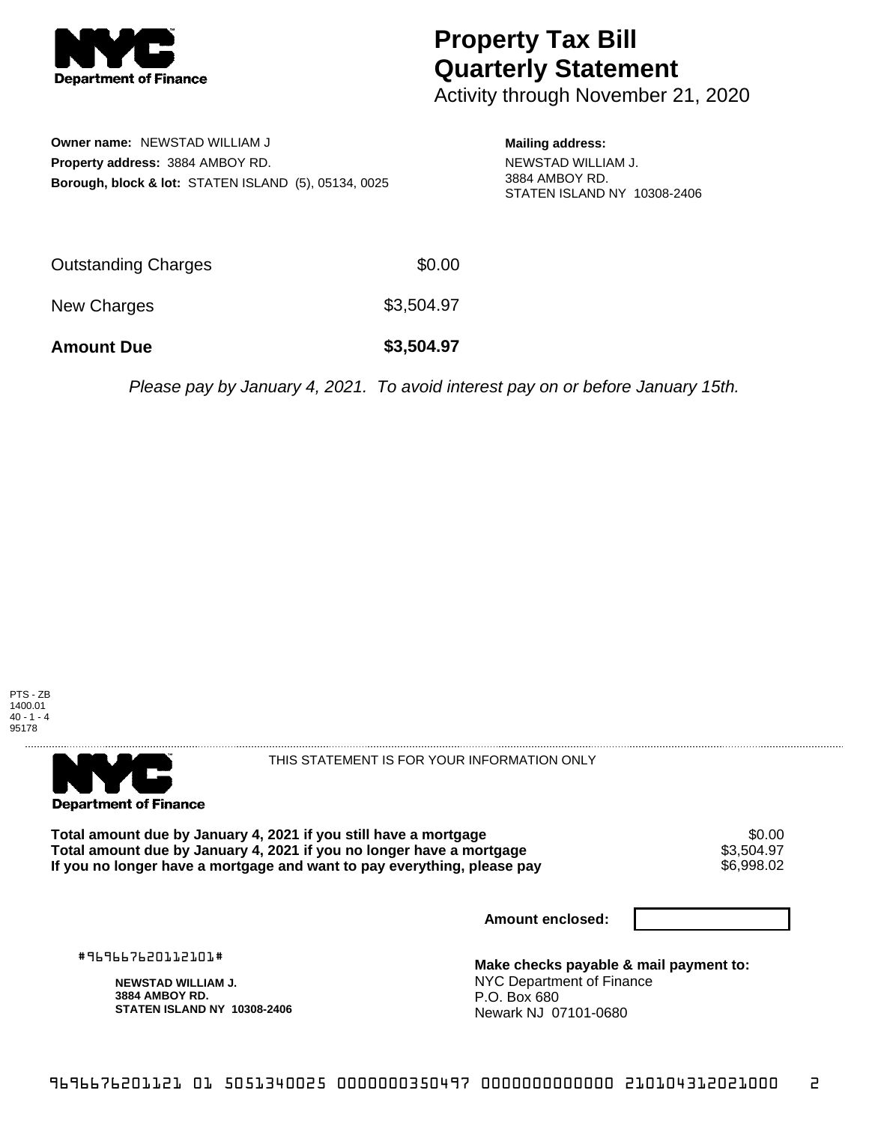

## **Property Tax Bill Quarterly Statement**

Activity through November 21, 2020

**Owner name:** NEWSTAD WILLIAM J **Property address:** 3884 AMBOY RD. **Borough, block & lot:** STATEN ISLAND (5), 05134, 0025 **Mailing address:**

NEWSTAD WILLIAM J. 3884 AMBOY RD. STATEN ISLAND NY 10308-2406

| <b>Amount Due</b>          | \$3,504.97 |
|----------------------------|------------|
| New Charges                | \$3,504.97 |
| <b>Outstanding Charges</b> | \$0.00     |

Please pay by January 4, 2021. To avoid interest pay on or before January 15th.





THIS STATEMENT IS FOR YOUR INFORMATION ONLY

Total amount due by January 4, 2021 if you still have a mortgage \$0.00<br>Total amount due by January 4, 2021 if you no longer have a mortgage \$3.504.97 **Total amount due by January 4, 2021 if you no longer have a mortgage**  $$3,504.97$ **<br>If you no longer have a mortgage and want to pay everything, please pay**  $\$6,998.02$ If you no longer have a mortgage and want to pay everything, please pay

**Amount enclosed:**

#969667620112101#

**NEWSTAD WILLIAM J. 3884 AMBOY RD. STATEN ISLAND NY 10308-2406**

**Make checks payable & mail payment to:** NYC Department of Finance P.O. Box 680 Newark NJ 07101-0680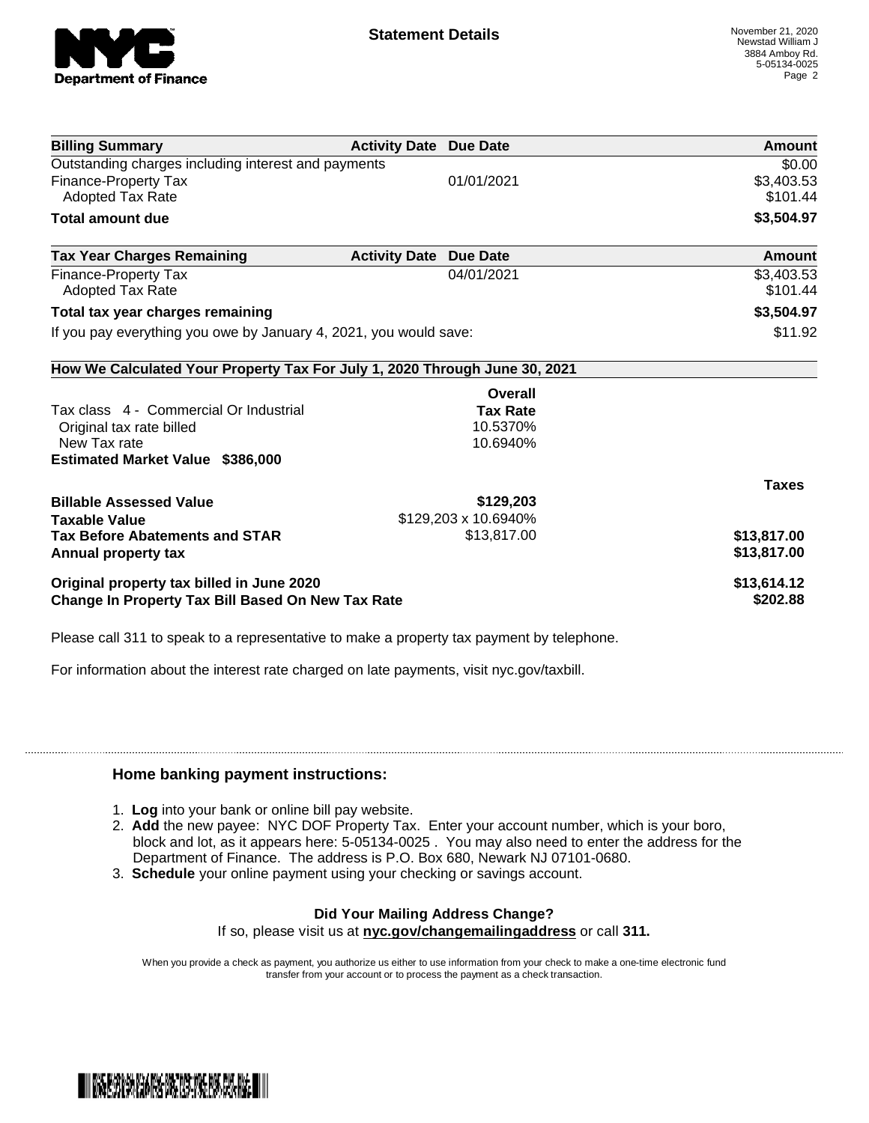

| <b>Billing Summary</b>                                                     | <b>Activity Date Due Date</b> |                      | Amount       |
|----------------------------------------------------------------------------|-------------------------------|----------------------|--------------|
| Outstanding charges including interest and payments                        |                               |                      | \$0.00       |
| <b>Finance-Property Tax</b>                                                |                               | 01/01/2021           | \$3,403.53   |
| Adopted Tax Rate                                                           |                               |                      | \$101.44     |
| Total amount due                                                           |                               |                      | \$3,504.97   |
| <b>Tax Year Charges Remaining</b>                                          | <b>Activity Date</b>          | <b>Due Date</b>      | Amount       |
| <b>Finance-Property Tax</b>                                                |                               | 04/01/2021           | \$3,403.53   |
| <b>Adopted Tax Rate</b>                                                    |                               |                      | \$101.44     |
| Total tax year charges remaining                                           |                               |                      | \$3,504.97   |
| If you pay everything you owe by January 4, 2021, you would save:          |                               |                      | \$11.92      |
| How We Calculated Your Property Tax For July 1, 2020 Through June 30, 2021 |                               |                      |              |
|                                                                            |                               | Overall              |              |
| Tax class 4 - Commercial Or Industrial                                     |                               | <b>Tax Rate</b>      |              |
| Original tax rate billed                                                   |                               | 10.5370%             |              |
| New Tax rate                                                               |                               | 10.6940%             |              |
| <b>Estimated Market Value \$386,000</b>                                    |                               |                      |              |
|                                                                            |                               |                      | <b>Taxes</b> |
| <b>Billable Assessed Value</b>                                             |                               | \$129,203            |              |
| <b>Taxable Value</b>                                                       |                               | \$129,203 x 10.6940% |              |
| <b>Tax Before Abatements and STAR</b>                                      |                               | \$13,817.00          | \$13,817.00  |
| <b>Annual property tax</b>                                                 |                               |                      | \$13,817.00  |
| Original property tax billed in June 2020                                  |                               |                      | \$13,614.12  |
| Change In Property Tax Bill Based On New Tax Rate                          |                               |                      | \$202.88     |

Please call 311 to speak to a representative to make a property tax payment by telephone.

For information about the interest rate charged on late payments, visit nyc.gov/taxbill.

## **Home banking payment instructions:**

- 1. **Log** into your bank or online bill pay website.
- 2. **Add** the new payee: NYC DOF Property Tax. Enter your account number, which is your boro, block and lot, as it appears here: 5-05134-0025 . You may also need to enter the address for the Department of Finance. The address is P.O. Box 680, Newark NJ 07101-0680.
- 3. **Schedule** your online payment using your checking or savings account.

## **Did Your Mailing Address Change?** If so, please visit us at **nyc.gov/changemailingaddress** or call **311.**

When you provide a check as payment, you authorize us either to use information from your check to make a one-time electronic fund transfer from your account or to process the payment as a check transaction.